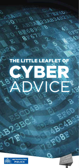# **LITTLE LEAFLET OF DVICE** CYBER

3.B

**CO Ha** 

**B3ABL?** 



 $n^{\circ}$ 

78



CAB

EOBE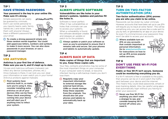## **TIP 1**  HAVE STRONG PASSWORDS

#### **Your password is the key to your online life. Make sure it's strong.**

Simple passwords can easily be guessed by criminals. Don't use words personal to you (sports teams, pets, family names etc.) and never share them with anyone! Always have a different password for your email.



To create a strong password simply join three random words together. You could add uppercase letters, numbers and symbols to make it more secure. You can also store passwords in your browser, or use a password manager.

## **TIP 2**  USE ANTIVIRUS

#### **Antivirus is your first line of defence. Make sure you use it, and it's kept up to date.**

Viruses and malicious software (malware) can infect any device (computers, phones, etc.). Once malware is there, it can lock you out, steal your information or even watch you in your home! Antivirus protects against malware.

#### **n** Most systems have

antivirus built in, so make sure you're using it. Also, consider installing extra antivirus on all of your devices (this can be free). These check everything coming into your device and will alert you if anything tries to infect your system.



## **TIP 3**  ALWAYS UPDATE SOFTWARE

#### **Vulnerabilities are like holes in your device's systems. Updates and patches fill the holes in.**

Software is never perfect. Often it has vulnerabilities or holes that criminals can use to access your systems. When a vulnerability is found. the software developer creates and releases an update or patch to fix the problem.



Always update or patch your software as soon as you're prompted to ensure that it remains safe and secure. Set your phones and tablets to automatically update.

#### **TIP 4**

## ALWAYS BACK UP DATA

#### **Make copies of things that are important to you. Keep these copies safe.**

Your files, contacts and photos may be some of the most important things on your computer. If your computer were to break, or become infected, having a safe backup means you don't lose them.

## Regularly copy your

important information to external storage like external hard drives, USBs or clouds storage. Keep these separate from the originals. You should also set your phones and tablets to automatically back up your data.



## **TIP 5**  TURN ON TWO-FACTOR AUTHENTICATION (2FA)

#### **Two-factor authentication (2FA) proves you are who you claim to be online.**

Passwords can be stolen by cyber criminals. However, accounts that have been set up to use 2FA will require you to input an extra 'factor'. This will be something only you can access like a code sent to you by text, or generated by an app on your device. So even if a criminal knows your password, they won't be able to access your accounts.

#### Where available turn on 2FA on any accounts that contain important or personal information. Go to www.turnon2fa.com for instructions on how to set up 2FA across popular online services.



## **TIP 6**

## DON'T USE FREE WI-FI FOR EVERYTHING

#### **Public or free Wi-Fi isn't secure. Someone could be monitoring everything you do.**

If a Wi-Fi network is free or available to the public, then anyone can be on it and watch the traffic sent between your device and the internet. This means they could steal passwords, emails or even banking details. Also, be careful using apps that automatically login without you having to enter your password.

Never use free Wi-Fi for anything you don't want a stranger to see, and consider keeping Wi-Fi turned off unless you need it.